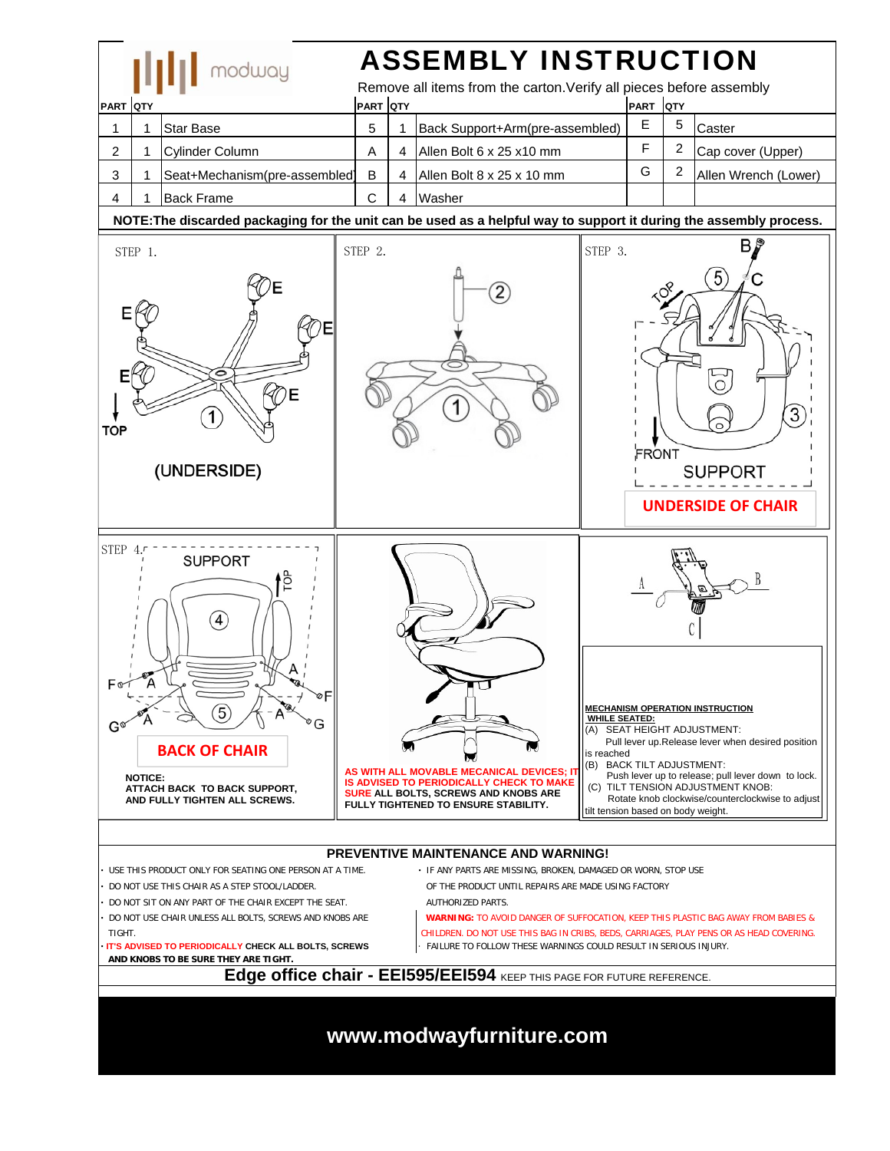